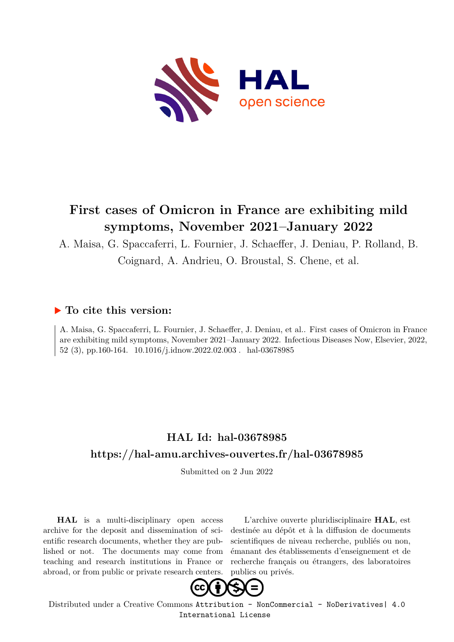

## **First cases of Omicron in France are exhibiting mild symptoms, November 2021–January 2022**

A. Maisa, G. Spaccaferri, L. Fournier, J. Schaeffer, J. Deniau, P. Rolland, B.

Coignard, A. Andrieu, O. Broustal, S. Chene, et al.

### **To cite this version:**

A. Maisa, G. Spaccaferri, L. Fournier, J. Schaeffer, J. Deniau, et al.. First cases of Omicron in France are exhibiting mild symptoms, November 2021–January 2022. Infectious Diseases Now, Elsevier, 2022, 52 (3), pp.160-164.  $10.1016/j.i$ dnow.2022.02.003. hal-03678985

## **HAL Id: hal-03678985 <https://hal-amu.archives-ouvertes.fr/hal-03678985>**

Submitted on 2 Jun 2022

**HAL** is a multi-disciplinary open access archive for the deposit and dissemination of scientific research documents, whether they are published or not. The documents may come from teaching and research institutions in France or abroad, or from public or private research centers.

L'archive ouverte pluridisciplinaire **HAL**, est destinée au dépôt et à la diffusion de documents scientifiques de niveau recherche, publiés ou non, émanant des établissements d'enseignement et de recherche français ou étrangers, des laboratoires publics ou privés.



Distributed under a Creative Commons [Attribution - NonCommercial - NoDerivatives| 4.0](http://creativecommons.org/licenses/by-nc-nd/4.0/) [International License](http://creativecommons.org/licenses/by-nc-nd/4.0/)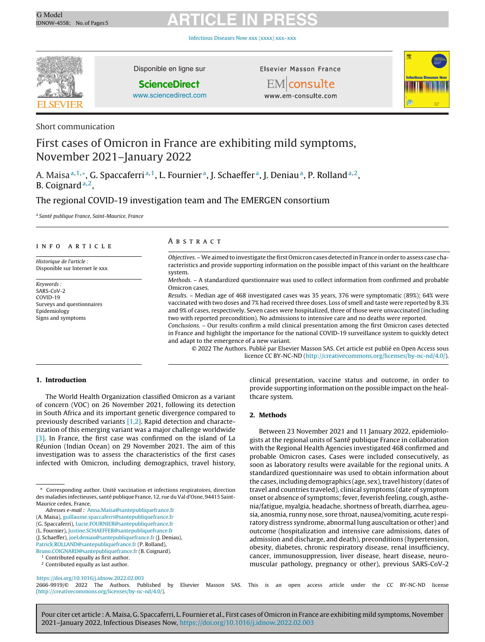[Infectious](https://doi.org/10.1016/j.idnow.2022.02.003) Diseases Now xxx (xxxx) xxx–xxx



Disponible en ligne sur

**ScienceDirect**

### Elsevier Masson France **EM** consulte

www.em-consulte.com



[www.sciencedirect.com](http://www.sciencedirect.com/science/journal/26669919)

Short communication

### First cases of Omicron in France are exhibiting mild symptoms, November 2021–January 2022

A. Maisa<sup>a, 1,</sup><sup>\*</sup>, G. Spaccaferri<sup>a, 1</sup>, L. Fournier<sup>a</sup>, J. Schaeffer<sup>a</sup>, J. Deniau<sup>a</sup>, P. Rolland<sup>a, 2</sup>, B. Coignard  $a, 2$ ,

### The regional COVID-19 investigation team and The EMERGEN consortium

<sup>a</sup> Santé publique France, Saint-Maurice, France

### INFO ARTICLE

Historique de l'article : Disponible sur Internet le xxx

Keywords : SARS-CoV-2 COVID-19 Surveys and questionnaires Epidemiology Signs and symptoms

### A B S T R A C T

Objectives. –We aimed to investigate the first Omicron cases detected in France in order to assess case characteristics and provide supporting information on the possible impact of this variant on the healthcare system.

Methods. – A standardized questionnaire was used to collect information from confirmed and probable Omicron cases.

Results. – Median age of 468 investigated cases was 35 years, 376 were symptomatic (89%); 64% were vaccinated with two doses and 7% had received three doses. Loss of smell and taste were reported by 8.3% and 9% of cases, respectively. Seven cases were hospitalized, three of those were unvaccinated (including two with reported precondition). No admissions to intensive care and no deaths were reported.

Conclusions. – Our results confirm a mild clinical presentation among the first Omicron cases detected in France and highlight the importance for the national COVID-19 surveillance system to quickly detect and adapt to the emergence of a new variant.

© 2022 The Authors. Publié par Elsevier Masson SAS. Cet article est publié en Open Access sous licence CC BY-NC-ND ([http://creativecommons.org/licenses/by-nc-nd/4.0/\)](http://creativecommons.org/licenses/by-nc-nd/4.0/).

### **1. Introduction**

The World Health Organization classified Omicron as a variant of concern (VOC) on 26 November 2021, following its detection in South Africa and its important genetic divergence compared to previously described variants [1,2]. Rapid detection and characterization of this emerging variant was a major challenge worldwide [3]. In France, the first case was confirmed on the island of La Réunion (Indian Ocean) on 29 November 2021. The aim of this investigation was to assess the characteristics of the first cases infected with Omicron, including demographics, travel history,

∗ Corresponding author. Unité vaccination et infections respiratoires, direction des maladies infectieuses, santé publique France, 12, rue du Val d'Osne, 94415 Saint-Maurice cedex, France.

Adresses e-mail : [Anna.Maisa@santepubliquefrance.fr](mailto:Anna.Maisa@santepubliquefrance.fr) (A. Maisa), [guillaume.spaccaferri@santepubliquefrance.fr](mailto:guillaume.spaccaferri@santepubliquefrance.fr)

(L. Fournier), [Justine.SCHAEFFER@santepubliquefrance.fr](mailto:Justine.SCHAEFFER@santepubliquefrance.fr)

(J. Schaeffer), [joel.deniau@santepubliquefrance.fr](mailto:joel.deniau@santepubliquefrance.fr) (J. Deniau), [Patrick.ROLLAND@santepubliquefrance.fr](mailto:Patrick.ROLLAND@santepubliquefrance.fr) (P. Rolland), [Bruno.COIGNARD@santepubliquefrance.fr](mailto:Bruno.COIGNARD@santepubliquefrance.fr) (B. Coignard).

<sup>1</sup> Contributed equally as first author.

clinical presentation, vaccine status and outcome, in order to provide supporting information on the possible impact on the healthcare system.

### **2. Methods**

Between 23 November 2021 and 11 January 2022, epidemiologists at the regional units of Santé publique France in collaboration with the Regional Health Agencies investigated 468 confirmed and probable Omicron cases. Cases were included consecutively, as soon as laboratory results were available for the regional units. A standardized questionnaire was used to obtain information about the cases, including demographics (age, sex), travel history (dates of travel and countries traveled), clinical symptoms (date of symptom onset or absence of symptoms; fever, feverish feeling, cough, asthenia/fatigue, myalgia, headache, shortness of breath, diarrhea, ageusia, anosmia, runny nose, sore throat, nausea/vomiting, acute respiratory distress syndrome, abnormal lung auscultation or other) and outcome (hospitalization and intensive care admissions, dates of admission and discharge, and death), preconditions (hypertension, obesity, diabetes, chronic respiratory disease, renal insufficiency, cancer, immunosuppression, liver disease, heart disease, neuromuscular pathology, pregnancy or other), previous SARS-CoV-2

<https://doi.org/10.1016/j.idnow.2022.02.003> 2666-9919/© 2022 The Authors. Published by Elsevier Masson SAS. This is an open access article under the CC BY-NC-ND license (<http://creativecommons.org/licenses/by-nc-nd/4.0/>).

Pour citer cet article : A. Maisa, G. Spaccaferri, L. Fournier et al., First cases of Omicron in France are exhibiting mild symptoms, November 2021–January 2022, Infectious Diseases Now, <https://doi.org/10.1016/j.idnow.2022.02.003>

<sup>(</sup>G. Spaccaferri), [Lucie.FOURNIER@santepubliquefrance.fr](mailto:Lucie.FOURNIER@santepubliquefrance.fr)

<sup>2</sup> Contributed equally as last author.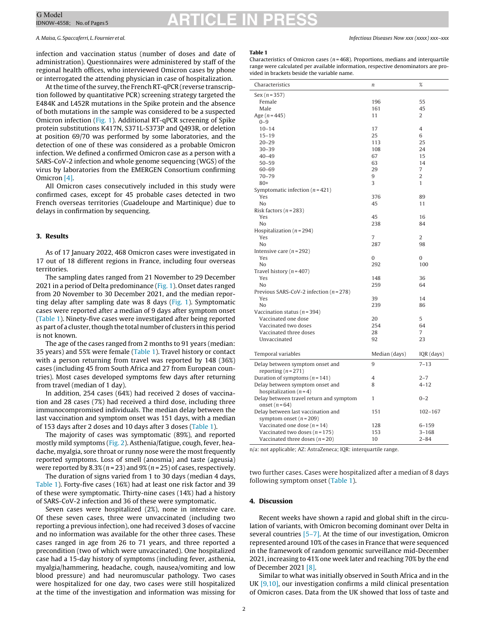A.Maisa,G. Spaccaferri, L. Fournier et al. Infectious Diseases Now xxx (xxxx) xxx–xxx

infection and vaccination status (number of doses and date of administration). Questionnaires were administered by staff of the regional health offices, who interviewed Omicron cases by phone or interrogated the attending physician in case of hospitalization.

At the time of the survey, the French RT-qPCR (reverse transcription followed by quantitative PCR) screening strategy targeted the E484K and L452R mutations in the Spike protein and the absence of both mutations in the sample was considered to be a suspected Omicron infection (Fig. 1). Additional RT-qPCR screening of Spike protein substitutions K417N, S371L-S373P and Q493R, or deletion at position 69/70 was performed by some laboratories, and the detection of one of these was considered as a probable Omicron infection. We defined a confirmed Omicron case as a person with a SARS-CoV-2 infection and whole genome sequencing (WGS) of the virus by laboratories from the EMERGEN Consortium confirming Omicron [4].

All Omicron cases consecutively included in this study were confirmed cases, except for 45 probable cases detected in two French overseas territories (Guadeloupe and Martinique) due to delays in confirmation by sequencing.

### **3. Results**

As of 17 January 2022, 468 Omicron cases were investigated in 17 out of 18 different regions in France, including four overseas territories.

The sampling dates ranged from 21 November to 29 December 2021 in a period of Delta predominance (Fig. 1). Onset dates ranged from 20 November to 30 December 2021, and the median reporting delay after sampling date was 8 days (Fig. 1). Symptomatic cases were reported after a median of 9 days after symptom onset (Table 1). Ninety-five cases were investigated after being reported as part of a cluster, though the total number of clusters in this period is not known.

The age of the cases ranged from 2 months to 91 years (median: 35 years) and 55% were female (Table 1). Travel history or contact with a person returning from travel was reported by 148 (36%) cases (including 45 from South Africa and 27 from European countries). Most cases developed symptoms few days after returning from travel (median of 1 day).

In addition, 254 cases (64%) had received 2 doses of vaccination and 28 cases (7%) had received a third dose, including three immunocompromised individuals. The median delay between the last vaccination and symptom onset was 151 days, with a median of 153 days after 2 doses and 10 days after 3 doses (Table 1).

The majority of cases was symptomatic (89%), and reported mostly mild symptoms (Fig. 2). Asthenia/fatigue, cough, fever, headache, myalgia, sore throat or runny nose were the most frequently reported symptoms. Loss of smell (anosmia) and taste (ageusia) were reported by  $8.3\%$  ( $n = 23$ ) and  $9\%$  ( $n = 25$ ) of cases, respectively.

The duration of signs varied from 1 to 30 days (median 4 days, Table 1). Forty-five cases (16%) had at least one risk factor and 39 of these were symptomatic. Thirty-nine cases (14%) had a history of SARS-CoV-2 infection and 36 of these were symptomatic.

Seven cases were hospitalized (2%), none in intensive care. Of these seven cases, three were unvaccinated (including two reporting a previous infection), one had received 3 doses of vaccine and no information was available for the other three cases. These cases ranged in age from 26 to 71 years, and three reported a precondition (two of which were unvaccinated). One hospitalized case had a 15-day history of symptoms (including fever, asthenia, myalgia/hammering, headache, cough, nausea/vomiting and low blood pressure) and had neuromuscular pathology. Two cases were hospitalized for one day, two cases were still hospitalized at the time of the investigation and information was missing for

#### **Table 1**

Characteristics of Omicron cases ( $n = 468$ ). Proportions, medians and interquartile range were calculated per available information, respective denominators are provided in brackets beside the variable name.

| Characteristics                                               | $\boldsymbol{n}$ | %                                |
|---------------------------------------------------------------|------------------|----------------------------------|
|                                                               |                  |                                  |
| $Sex(n=357)$                                                  |                  |                                  |
| Female                                                        | 196              | 55                               |
| Male                                                          | 161              | 45                               |
| Age $(n = 445)$                                               | 11               | 2                                |
| $0 - 9$                                                       |                  |                                  |
| $10 - 14$                                                     | 17               | $\overline{4}$                   |
| $15 - 19$                                                     | 25               | 6                                |
| $20 - 29$                                                     | 113              | 25                               |
| $30 - 39$                                                     | 108              | 24                               |
| $40 - 49$                                                     | 67               | 15                               |
| $50 - 59$                                                     | 63               | 14                               |
| $60 - 69$                                                     | 29               | $\overline{7}$<br>$\overline{2}$ |
| $70 - 79$                                                     | 9<br>3           | 1                                |
| $80+$                                                         |                  |                                  |
| Symptomatic infection $(n=421)$<br>Yes                        | 376              | 89                               |
| No                                                            | 45               | 11                               |
| Risk factors $(n=283)$                                        |                  |                                  |
| Yes                                                           | 45               | 16                               |
| No                                                            | 238              | 84                               |
| Hospitalization ( $n = 294$ )                                 |                  |                                  |
| Yes                                                           | 7                | $\overline{2}$                   |
| N <sub>0</sub>                                                | 287              | 98                               |
| Intensive care $(n=292)$                                      |                  |                                  |
| Yes                                                           | $\Omega$         | $\Omega$                         |
| No                                                            | 292              | 100                              |
| Travel history ( $n = 407$ )                                  |                  |                                  |
| Yes                                                           | 148              | 36                               |
| No                                                            | 259              | 64                               |
| Previous SARS-CoV-2 infection ( $n = 278$ )                   |                  |                                  |
| Yes                                                           | 39               | 14                               |
| No                                                            | 239              | 86                               |
| Vaccination status ( $n = 394$ )                              |                  |                                  |
| Vaccinated one dose                                           | 20               | 5                                |
| Vaccinated two doses                                          | 254              | 64                               |
| Vaccinated three doses                                        | 28               | 7                                |
| Unvaccinated                                                  | 92               | 23                               |
|                                                               |                  |                                  |
| Temporal variables                                            | Median (days)    | IQR (days)                       |
| Delay between symptom onset and<br>reporting $(n=271)$        | 9                | $7 - 13$                         |
| Duration of symptoms $(n = 141)$                              | 4                | $2 - 7$                          |
| Delay between symptom onset and                               | 8                | $4 - 12$                         |
| hospitalization $(n=4)$                                       |                  |                                  |
| Delay between travel return and symptom                       | 1                | $0 - 2$                          |
| onset $(n=64)$                                                |                  |                                  |
| Delay between last vaccination and<br>symptom onset $(n=209)$ | 151              | $102 - 167$                      |
| Vaccinated one dose $(n=14)$                                  | 128              | $6 - 159$                        |
| Vaccinated two doses ( $n = 175$ )                            | 153              | $3 - 168$                        |
| Vaccinated three doses $(n=20)$                               | 10               | $2 - 84$                         |
|                                                               |                  |                                  |

n/a: not applicable; AZ: AstraZeneca; IQR: interquartile range.

two further cases. Cases were hospitalized after a median of 8 days following symptom onset (Table 1).

### **4. Discussion**

Recent weeks have shown a rapid and global shift in the circulation of variants, with Omicron becoming dominant over Delta in several countries [5–7]. At the time of our investigation, Omicron represented around 10% of the cases in France that were sequenced in the framework of random genomic surveillance mid-December 2021, increasing to 41% one week later and reaching 70% by the end of December 2021 [8].

Similar to what was initially observed in South Africa and in the UK [9,10], our investigation confirms a mild clinical presentation of Omicron cases. Data from the UK showed that loss of taste and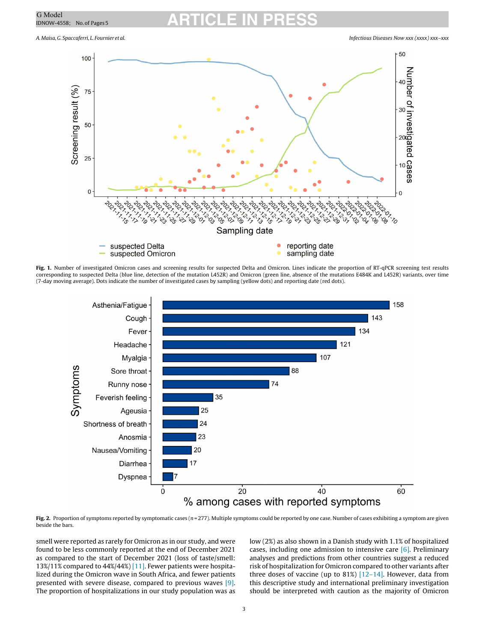A.Maisa,G. Spaccaferri, L. Fournier et al. Infectious Diseases Now xxx (xxxx) xxx–xxx



**Fig. 1.** Number of investigated Omicron cases and screening results for suspected Delta and Omicron. Lines indicate the proportion of RT-qPCR screening test results corresponding to suspected Delta (blue line, detection of the mutation L452R) and Omicron (green line, absence of the mutations E484K and L452R) variants, over time (7-day moving average). Dots indicate the number of investigated cases by sampling (yellow dots) and reporting date (red dots).



Fig. 2. Proportion of symptoms reported by symptomatic cases (n = 277). Multiple symptoms could be reported by one case. Number of cases exhibiting a symptom are given beside the bars.

smell were reported as rarely for Omicron as in our study, and were found to be less commonly reported at the end of December 2021 as compared to the start of December 2021 (loss of taste/smell: 13%/11% compared to 44%/44%) [11]. Fewer patients were hospitalized during the Omicron wave in South Africa, and fewer patients presented with severe disease, compared to previous waves [9]. The proportion of hospitalizations in our study population was as low (2%) as also shown in a Danish study with 1.1% of hospitalized cases, including one admission to intensive care [6]. Preliminary analyses and predictions from other countries suggest a reduced risk of hospitalization for Omicron compared to other variants after three doses of vaccine (up to 81%)  $[12-14]$ . However, data from this descriptive study and international preliminary investigation should be interpreted with caution as the majority of Omicron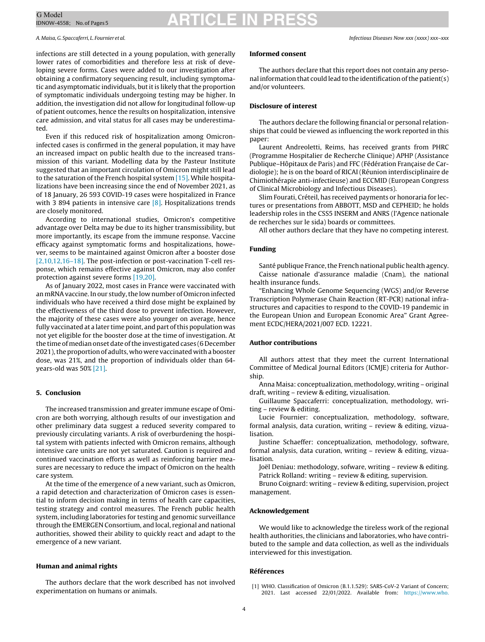A.Maisa,G. Spaccaferri, L. Fournier et al. Infectious Diseases Now xxx (xxxx) xxx–xxx

infections are still detected in a young population, with generally lower rates of comorbidities and therefore less at risk of developing severe forms. Cases were added to our investigation after obtaining a confirmatory sequencing result, including symptomatic and asymptomatic individuals, but it is likely that the proportion of symptomatic individuals undergoing testing may be higher. In addition, the investigation did not allow for longitudinal follow-up of patient outcomes, hence the results on hospitalization, intensive care admission, and vital status for all cases may be underestimated.

Even if this reduced risk of hospitalization among Omicroninfected cases is confirmed in the general population, it may have an increased impact on public health due to the increased transmission of this variant. Modelling data by the Pasteur Institute suggested that an important circulation of Omicron might still lead to the saturation of the French hospital system [15]. While hospitalizations have been increasing since the end of November 2021, as of 18 January, 26 593 COVID-19 cases were hospitalized in France with 3 894 patients in intensive care [8]. Hospitalizations trends are closely monitored.

According to international studies, Omicron's competitive advantage over Delta may be due to its higher transmissibility, but more importantly, its escape from the immune response. Vaccine efficacy against symptomatic forms and hospitalizations, however, seems to be maintained against Omicron after a booster dose [2,10,12,16–18]. The post-infection or post-vaccination T-cell response, which remains effective against Omicron, may also confer protection against severe forms [19,20].

As of January 2022, most cases in France were vaccinated with an mRNA vaccine. In our study, the low number of Omicron infected individuals who have received a third dose might be explained by the effectiveness of the third dose to prevent infection. However, the majority of these cases were also younger on average, hence fully vaccinated at a later time point, and part of this population was not yet eligible for the booster dose at the time of investigation. At the time of median onset date of the investigated cases (6 December 2021), the proportion of adults, who were vaccinated with a booster dose, was 21%, and the proportion of individuals older than 64 years-old was 50% [21].

### **5. Conclusion**

The increased transmission and greater immune escape of Omicron are both worrying, although results of our investigation and other preliminary data suggest a reduced severity compared to previously circulating variants. A risk of overburdening the hospital system with patients infected with Omicron remains, although intensive care units are not yet saturated. Caution is required and continued vaccination efforts as well as reinforcing barrier measures are necessary to reduce the impact of Omicron on the health care system.

At the time of the emergence of a new variant, such as Omicron, a rapid detection and characterization of Omicron cases is essential to inform decision making in terms of health care capacities, testing strategy and control measures. The French public health system, including laboratories for testing and genomic surveillance through the EMERGEN Consortium, and local, regional and national authorities, showed their ability to quickly react and adapt to the emergence of a new variant.

### **Human and animal rights**

The authors declare that the work described has not involved experimentation on humans or animals.

### **Informed consent**

The authors declare that this report does not contain any personal information that could lead to the identification ofthe patient(s) and/or volunteers.

#### **Disclosure of interest**

The authors declare the following financial or personal relationships that could be viewed as influencing the work reported in this paper:

Laurent Andreoletti, Reims, has received grants from PHRC (Programme Hospitalier de Recherche Clinique) APHP (Assistance Publique–Hôpitaux de Paris) and FFC (Fédération Française de Cardiologie); he is on the board of RICAI (Réunion interdisciplinaire de Chimiothérapie anti-infectieuse) and ECCMID (European Congress of Clinical Microbiology and Infectious Diseases).

Slim Fourati, Créteil, has received payments or honoraria for lectures or presentations from ABBOTT, MSD and CEPHEID; he holds leadership roles in the CSS5 INSERM and ANRS (l'Agence nationale de recherches sur le sida) boards or committees.

All other authors declare that they have no competing interest.

### **Funding**

Santé publique France, the French national public health agency. Caisse nationale d'assurance maladie (Cnam), the national health insurance funds.

"Enhancing Whole Genome Sequencing (WGS) and/or Reverse Transcription Polymerase Chain Reaction (RT-PCR) national infrastructures and capacities to respond to the COVID-19 pandemic in the European Union and European Economic Area" Grant Agreement ECDC/HERA/2021/007 ECD. 12221.

### **Author contributions**

All authors attest that they meet the current International Committee of Medical Journal Editors (ICMJE) criteria for Authorship.

Anna Maisa: conceptualization, methodology, writing – original draft, writing – review & editing, vizualisation.

Guillaume Spaccaferri: conceptualization, methodology, writing – review & editing.

Lucie Fournier: conceptualization, methodology, software, formal analysis, data curation, writing – review & editing, vizualisation.

Justine Schaeffer: conceptualization, methodology, software, formal analysis, data curation, writing – review & editing, vizualisation.

Joël Deniau: methodology, sofware, writing – review & editing. Patrick Rolland: writing – review & editing, supervision.

Bruno Coignard: writing – review & editing, supervision, project management.

#### **Acknowledgement**

We would like to acknowledge the tireless work of the regional health authorities, the clinicians and laboratories, who have contributed to the sample and data collection, as well as the individuals interviewed for this investigation.

### **Références**

<sup>[1]</sup> WHO. Classification of Omicron (B.1.1.529): SARS-CoV-2 Variant of Concern; 2021. Last accessed 22/01/2022. Available from: [https://www.who.](https://www.who.int/news/item/26-11-2021-classification-of-omicron-(b.1.1.529)-sars-cov-2-variant-of-concern)